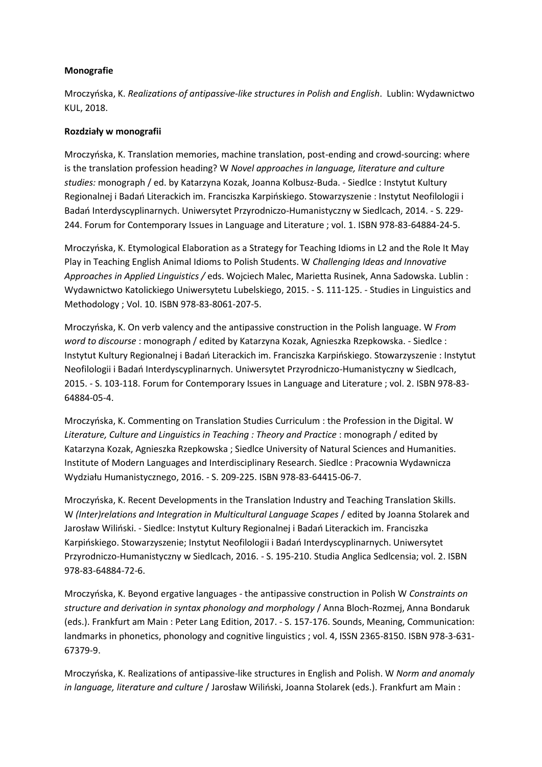## **Monografie**

Mroczyńska, K. *Realizations of antipassive-like structures in Polish and English*. Lublin: Wydawnictwo KUL, 2018.

## **Rozdziały w monografii**

Mroczyńska, K. Translation memories, machine translation, post-ending and crowd-sourcing: where is the translation profession heading? W *Novel approaches in language, literature and culture studies:* monograph / ed. by Katarzyna Kozak, Joanna Kolbusz-Buda. - Siedlce : Instytut Kultury Regionalnej i Badań Literackich im. Franciszka Karpińskiego. Stowarzyszenie : Instytut Neofilologii i Badań Interdyscyplinarnych. Uniwersytet Przyrodniczo-Humanistyczny w Siedlcach, 2014. - S. 229-244. Forum for Contemporary Issues in Language and Literature ; vol. 1. ISBN 978-83-64884-24-5.

Mroczyńska, K. Etymological Elaboration as a Strategy for Teaching Idioms in L2 and the Role It May Play in Teaching English Animal Idioms to Polish Students. W *Challenging Ideas and Innovative Approaches in Applied Linguistics /* eds. Wojciech Malec, Marietta Rusinek, Anna Sadowska. Lublin : Wydawnictwo Katolickiego Uniwersytetu Lubelskiego, 2015. - S. 111-125. - Studies in Linguistics and Methodology ; Vol. 10. ISBN 978-83-8061-207-5.

Mroczyńska, K. On verb valency and the antipassive construction in the Polish language. W *From word to discourse* : monograph / edited by Katarzyna Kozak, Agnieszka Rzepkowska. - Siedlce : Instytut Kultury Regionalnej i Badań Literackich im. Franciszka Karpińskiego. Stowarzyszenie : Instytut Neofilologii i Badań Interdyscyplinarnych. Uniwersytet Przyrodniczo-Humanistyczny w Siedlcach, 2015. - S. 103-118. Forum for Contemporary Issues in Language and Literature ; vol. 2. ISBN 978-83- 64884-05-4.

Mroczyńska, K. Commenting on Translation Studies Curriculum : the Profession in the Digital. W *Literature, Culture and Linguistics in Teaching : Theory and Practice* : monograph / edited by Katarzyna Kozak, Agnieszka Rzepkowska ; Siedlce University of Natural Sciences and Humanities. Institute of Modern Languages and Interdisciplinary Research. Siedlce : Pracownia Wydawnicza Wydziału Humanistycznego, 2016. - S. 209-225. ISBN 978-83-64415-06-7.

Mroczyńska, K. Recent Developments in the Translation Industry and Teaching Translation Skills. W *(Inter)relations and Integration in Multicultural Language Scapes* / edited by Joanna Stolarek and Jarosław Wiliński. - Siedlce: Instytut Kultury Regionalnej i Badań Literackich im. Franciszka Karpińskiego. Stowarzyszenie; Instytut Neofilologii i Badań Interdyscyplinarnych. Uniwersytet Przyrodniczo-Humanistyczny w Siedlcach, 2016. - S. 195-210. Studia Anglica Sedlcensia; vol. 2. ISBN 978-83-64884-72-6.

Mroczyńska, K. Beyond ergative languages - the antipassive construction in Polish W *Constraints on structure and derivation in syntax phonology and morphology* / Anna Bloch-Rozmej, Anna Bondaruk (eds.). Frankfurt am Main : Peter Lang Edition, 2017. - S. 157-176. Sounds, Meaning, Communication: landmarks in phonetics, phonology and cognitive linguistics ; vol. 4, ISSN 2365-8150. ISBN 978-3-631- 67379-9.

Mroczyńska, K. Realizations of antipassive-like structures in English and Polish. W *Norm and anomaly in language, literature and culture / Jarosław Wiliński, Joanna Stolarek (eds.). Frankfurt am Main :*